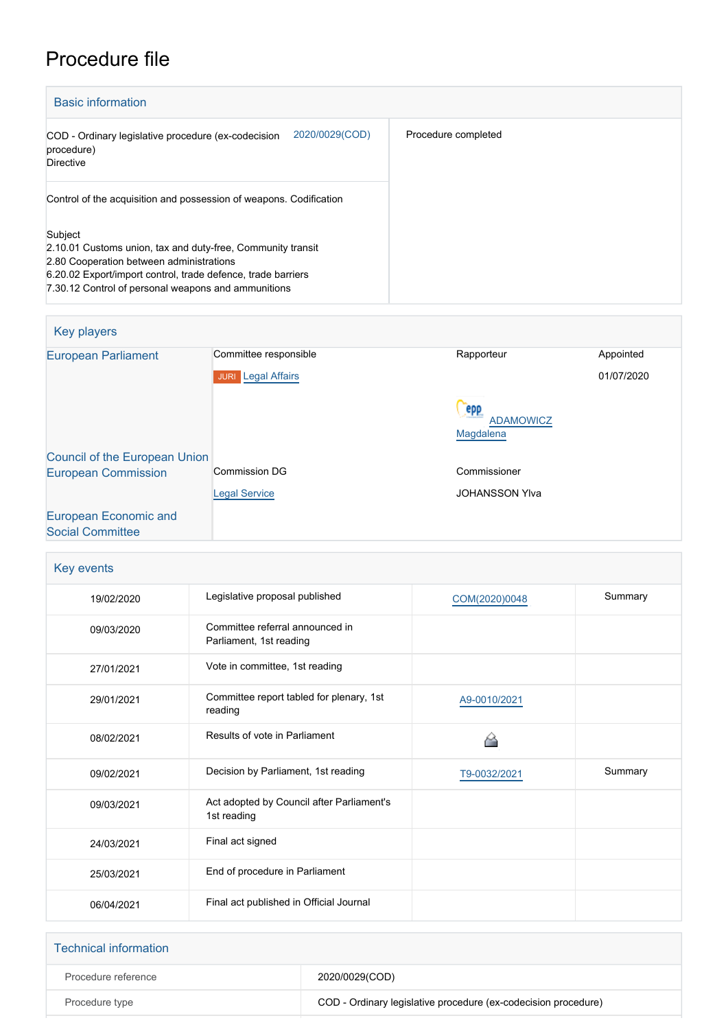## Procedure file

| <b>Basic information</b>                                                                                                                                                                                                                  |                     |  |
|-------------------------------------------------------------------------------------------------------------------------------------------------------------------------------------------------------------------------------------------|---------------------|--|
| 2020/0029(COD)<br>COD - Ordinary legislative procedure (ex-codecision<br>procedure)<br><b>Directive</b>                                                                                                                                   | Procedure completed |  |
| Control of the acquisition and possession of weapons. Codification                                                                                                                                                                        |                     |  |
| Subject<br>2.10.01 Customs union, tax and duty-free, Community transit<br>2.80 Cooperation between administrations<br>6.20.02 Export/import control, trade defence, trade barriers<br>7.30.12 Control of personal weapons and ammunitions |                     |  |

## Key players

| <b>European Parliament</b>                       | Committee responsible               | Rapporteur                           | Appointed  |
|--------------------------------------------------|-------------------------------------|--------------------------------------|------------|
|                                                  | <b>Legal Affairs</b><br><b>JURI</b> |                                      | 01/07/2020 |
|                                                  |                                     | epp<br><b>ADAMOWICZ</b><br>Magdalena |            |
| <b>Council of the European Union</b>             |                                     |                                      |            |
| <b>European Commission</b>                       | Commission DG                       | Commissioner                         |            |
|                                                  | <b>Legal Service</b>                | <b>JOHANSSON YIva</b>                |            |
| European Economic and<br><b>Social Committee</b> |                                     |                                      |            |

| Key events |                                                            |               |         |
|------------|------------------------------------------------------------|---------------|---------|
| 19/02/2020 | Legislative proposal published                             | COM(2020)0048 | Summary |
| 09/03/2020 | Committee referral announced in<br>Parliament, 1st reading |               |         |
| 27/01/2021 | Vote in committee, 1st reading                             |               |         |
| 29/01/2021 | Committee report tabled for plenary, 1st<br>reading        | A9-0010/2021  |         |
| 08/02/2021 | Results of vote in Parliament                              |               |         |
| 09/02/2021 | Decision by Parliament, 1st reading                        | T9-0032/2021  | Summary |
| 09/03/2021 | Act adopted by Council after Parliament's<br>1st reading   |               |         |
| 24/03/2021 | Final act signed                                           |               |         |
| 25/03/2021 | End of procedure in Parliament                             |               |         |
| 06/04/2021 | Final act published in Official Journal                    |               |         |

| <b>Technical information</b> |                                                                |
|------------------------------|----------------------------------------------------------------|
| Procedure reference          | 2020/0029(COD)                                                 |
| Procedure type               | COD - Ordinary legislative procedure (ex-codecision procedure) |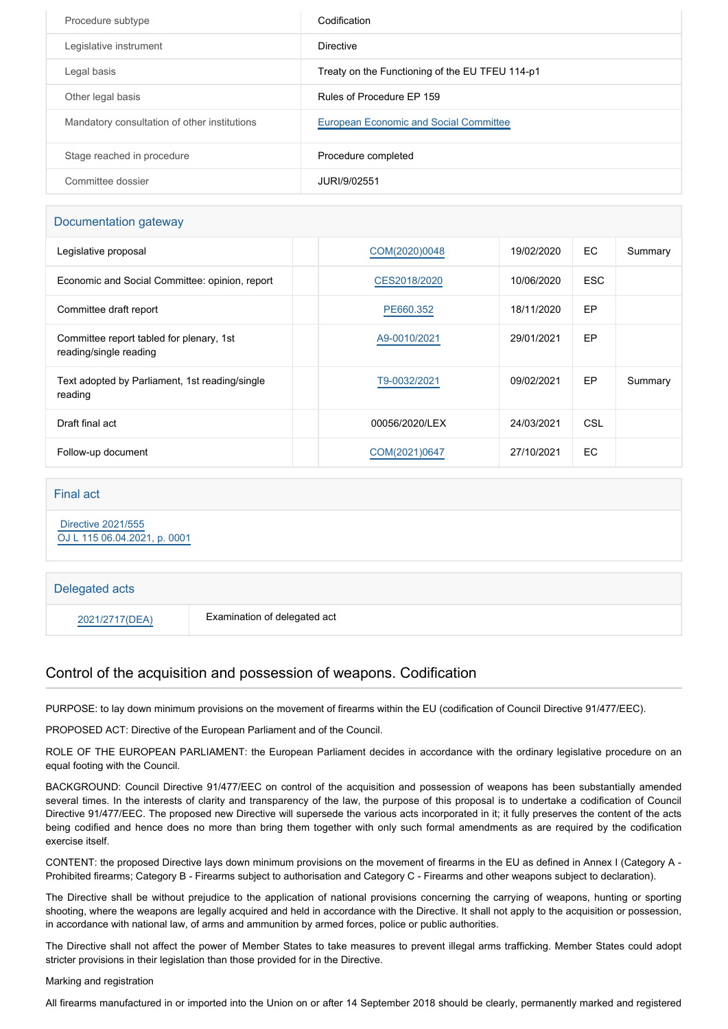| Procedure subtype                            | Codification                                    |
|----------------------------------------------|-------------------------------------------------|
| Legislative instrument                       | Directive                                       |
| Legal basis                                  | Treaty on the Functioning of the EU TFEU 114-p1 |
| Other legal basis                            | Rules of Procedure EP 159                       |
| Mandatory consultation of other institutions | European Economic and Social Committee          |
| Stage reached in procedure                   | Procedure completed                             |
| Committee dossier                            | JURI/9/02551                                    |

#### Documentation gateway

| Legislative proposal                                               | COM(2020)0048  | 19/02/2020 | EC.        | Summary |
|--------------------------------------------------------------------|----------------|------------|------------|---------|
| Economic and Social Committee: opinion, report                     | CES2018/2020   | 10/06/2020 | <b>ESC</b> |         |
| Committee draft report                                             | PE660.352      | 18/11/2020 | <b>EP</b>  |         |
| Committee report tabled for plenary, 1st<br>reading/single reading | A9-0010/2021   | 29/01/2021 | EP         |         |
| Text adopted by Parliament, 1st reading/single<br>reading          | T9-0032/2021   | 09/02/2021 | EP         | Summary |
| Draft final act                                                    | 00056/2020/LEX | 24/03/2021 | CSL        |         |
| Follow-up document                                                 | COM(2021)0647  | 27/10/2021 | EC.        |         |

#### Final act

 [Directive 2021/555](https://eur-lex.europa.eu/smartapi/cgi/sga_doc?smartapi!celexplus!prod!CELEXnumdoc&lg=EN&numdoc=32021L0555) [OJ L 115 06.04.2021, p. 0001](https://eur-lex.europa.eu/legal-content/EN/TXT/?uri=OJ:L:2021:115:TOC)

# Delegated acts 2021/2717(DEA) Examination of delegated act

## Control of the acquisition and possession of weapons. Codification

PURPOSE: to lay down minimum provisions on the movement of firearms within the EU (codification of Council Directive 91/477/EEC).

PROPOSED ACT: Directive of the European Parliament and of the Council.

ROLE OF THE EUROPEAN PARLIAMENT: the European Parliament decides in accordance with the ordinary legislative procedure on an equal footing with the Council.

BACKGROUND: Council Directive 91/477/EEC on control of the acquisition and possession of weapons has been substantially amended several times. In the interests of clarity and transparency of the law, the purpose of this proposal is to undertake a codification of Council Directive 91/477/EEC. The proposed new Directive will supersede the various acts incorporated in it; it fully preserves the content of the acts being codified and hence does no more than bring them together with only such formal amendments as are required by the codification exercise itself.

CONTENT: the proposed Directive lays down minimum provisions on the movement of firearms in the EU as defined in Annex I (Category A - Prohibited firearms; Category B - Firearms subject to authorisation and Category C - Firearms and other weapons subject to declaration).

The Directive shall be without prejudice to the application of national provisions concerning the carrying of weapons, hunting or sporting shooting, where the weapons are legally acquired and held in accordance with the Directive. It shall not apply to the acquisition or possession, in accordance with national law, of arms and ammunition by armed forces, police or public authorities.

The Directive shall not affect the power of Member States to take measures to prevent illegal arms trafficking. Member States could adopt stricter provisions in their legislation than those provided for in the Directive.

#### Marking and registration

All firearms manufactured in or imported into the Union on or after 14 September 2018 should be clearly, permanently marked and registered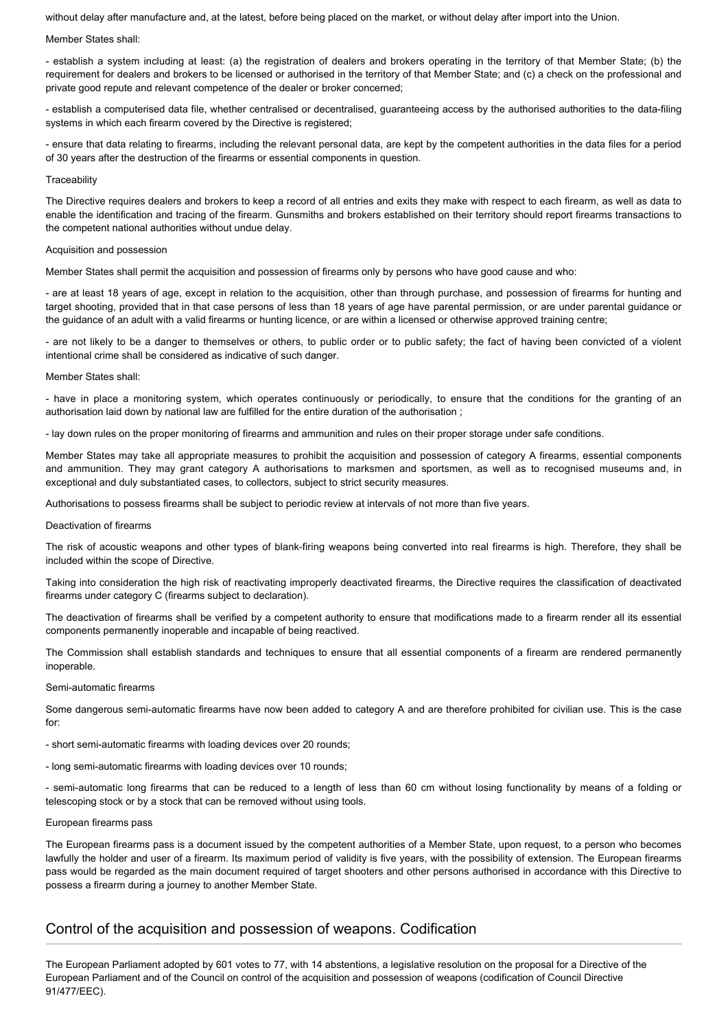without delay after manufacture and, at the latest, before being placed on the market, or without delay after import into the Union.

#### Member States shall:

- establish a system including at least: (a) the registration of dealers and brokers operating in the territory of that Member State; (b) the requirement for dealers and brokers to be licensed or authorised in the territory of that Member State; and (c) a check on the professional and private good repute and relevant competence of the dealer or broker concerned;

- establish a computerised data file, whether centralised or decentralised, guaranteeing access by the authorised authorities to the data-filing systems in which each firearm covered by the Directive is registered;

- ensure that data relating to firearms, including the relevant personal data, are kept by the competent authorities in the data files for a period of 30 years after the destruction of the firearms or essential components in question.

#### **Traceability**

The Directive requires dealers and brokers to keep a record of all entries and exits they make with respect to each firearm, as well as data to enable the identification and tracing of the firearm. Gunsmiths and brokers established on their territory should report firearms transactions to the competent national authorities without undue delay.

#### Acquisition and possession

Member States shall permit the acquisition and possession of firearms only by persons who have good cause and who:

- are at least 18 years of age, except in relation to the acquisition, other than through purchase, and possession of firearms for hunting and target shooting, provided that in that case persons of less than 18 years of age have parental permission, or are under parental guidance or the guidance of an adult with a valid firearms or hunting licence, or are within a licensed or otherwise approved training centre;

- are not likely to be a danger to themselves or others, to public order or to public safety; the fact of having been convicted of a violent intentional crime shall be considered as indicative of such danger.

#### Member States shall:

- have in place a monitoring system, which operates continuously or periodically, to ensure that the conditions for the granting of an authorisation laid down by national law are fulfilled for the entire duration of the authorisation ;

- lay down rules on the proper monitoring of firearms and ammunition and rules on their proper storage under safe conditions.

Member States may take all appropriate measures to prohibit the acquisition and possession of category A firearms, essential components and ammunition. They may grant category A authorisations to marksmen and sportsmen, as well as to recognised museums and, in exceptional and duly substantiated cases, to collectors, subject to strict security measures.

Authorisations to possess firearms shall be subject to periodic review at intervals of not more than five years.

#### Deactivation of firearms

The risk of acoustic weapons and other types of blank-firing weapons being converted into real firearms is high. Therefore, they shall be included within the scope of Directive.

Taking into consideration the high risk of reactivating improperly deactivated firearms, the Directive requires the classification of deactivated firearms under category C (firearms subject to declaration).

The deactivation of firearms shall be verified by a competent authority to ensure that modifications made to a firearm render all its essential components permanently inoperable and incapable of being reactived.

The Commission shall establish standards and techniques to ensure that all essential components of a firearm are rendered permanently inoperable.

#### Semi-automatic firearms

Some dangerous semi-automatic firearms have now been added to category A and are therefore prohibited for civilian use. This is the case for:

- short semi-automatic firearms with loading devices over 20 rounds;
- long semi-automatic firearms with loading devices over 10 rounds;

- semi-automatic long firearms that can be reduced to a length of less than 60 cm without losing functionality by means of a folding or telescoping stock or by a stock that can be removed without using tools.

#### European firearms pass

The European firearms pass is a document issued by the competent authorities of a Member State, upon request, to a person who becomes lawfully the holder and user of a firearm. Its maximum period of validity is five years, with the possibility of extension. The European firearms pass would be regarded as the main document required of target shooters and other persons authorised in accordance with this Directive to possess a firearm during a journey to another Member State.

### Control of the acquisition and possession of weapons. Codification

The European Parliament adopted by 601 votes to 77, with 14 abstentions, a legislative resolution on the proposal for a Directive of the European Parliament and of the Council on control of the acquisition and possession of weapons (codification of Council Directive 91/477/EEC).